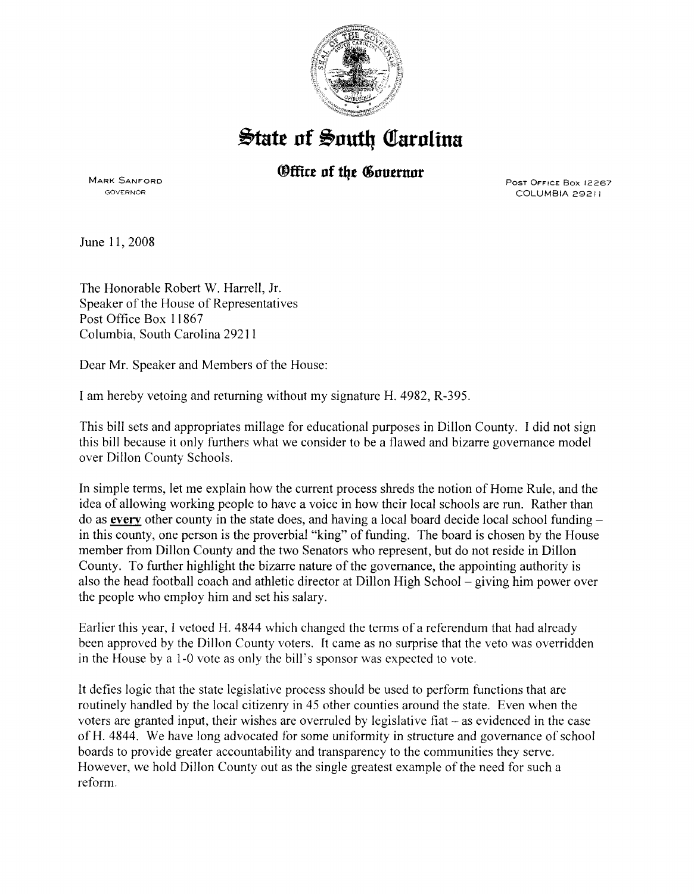

## $\frac{1}{2}$ tate of South Carolina

## *®ffice of the Governor*

MARK SANFORD GOVERNOR

PosT OFFICE Box 12267 COLUMBIA 29211

June 11, 2008

The Honorable Robert W. Harrell, Jr. Speaker of the House of Representatives Post Office Box 11867 Columbia, South Carolina 29211

Dear Mr. Speaker and Members of the House:

I am hereby vetoing and returning without my signature H. 4982, R-395.

This bill sets and appropriates millage for educational purposes in Dillon County. I did not sign this bill because it only furthers what we consider to be a flawed and bizarre governance model over Dillon County Schools.

In simple terms, let me explain how the current process shreds the notion of Home Rule, and the idea of allowing working people to have a voice in how their local schools are run. Rather than do as **every** other county in the state does, and having a local board decide local school fundingin this county, one person is the proverbial "king" of funding. The board is chosen by the House member from Dillon County and the two Senators who represent, but do not reside in Dillon County. To further highlight the bizarre nature of the governance, the appointing authority is also the head football coach and athletic director at Dillon High School - giving him power over the people who employ him and set his salary.

Earlier this year, I vetoed H. 4844 which changed the terms of a referendum that had already been approved by the Dillon County voters. It came as no surprise that the veto was overridden in the House by a 1-0 vote as only the bill's sponsor was expected to vote.

It defies logic that the state legislative process should be used to perform functions that are routinely handled by the local citizenry in 45 other counties around the state. Even when the voters are granted input, their wishes are overruled by legislative fiat- as evidenced in the case of H. 4844. We have long advocated for some uniformity in structure and governance of school boards to provide greater accountability and transparency to the communities they serve. However, we hold Dillon County out as the single greatest example of the need for such a reform.